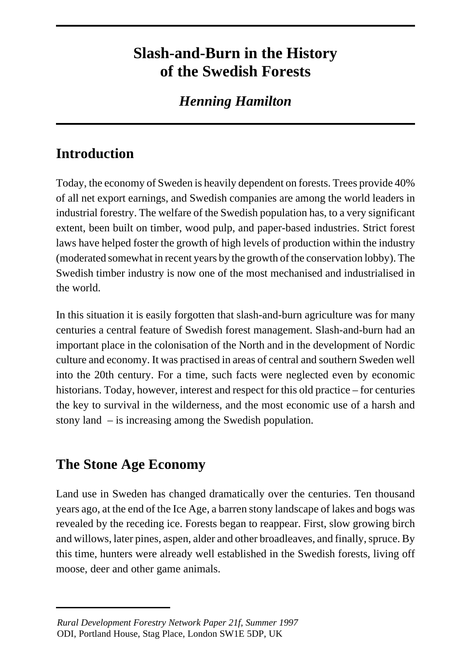# **Slash-and-Burn in the History of the Swedish Forests**

## *Henning Hamilton*

## **Introduction**

Today, the economy of Sweden is heavily dependent on forests. Trees provide 40% of all net export earnings, and Swedish companies are among the world leaders in industrial forestry. The welfare of the Swedish population has, to a very significant extent, been built on timber, wood pulp, and paper-based industries. Strict forest laws have helped foster the growth of high levels of production within the industry (moderated somewhat in recent years by the growth of the conservation lobby). The Swedish timber industry is now one of the most mechanised and industrialised in the world.

In this situation it is easily forgotten that slash-and-burn agriculture was for many centuries a central feature of Swedish forest management. Slash-and-burn had an important place in the colonisation of the North and in the development of Nordic culture and economy. It was practised in areas of central and southern Sweden well into the 20th century. For a time, such facts were neglected even by economic historians. Today, however, interest and respect for this old practice – for centuries the key to survival in the wilderness, and the most economic use of a harsh and stony land – is increasing among the Swedish population.

## **The Stone Age Economy**

Land use in Sweden has changed dramatically over the centuries. Ten thousand years ago, at the end of the Ice Age, a barren stony landscape of lakes and bogs was revealed by the receding ice. Forests began to reappear. First, slow growing birch and willows, later pines, aspen, alder and other broadleaves, and finally, spruce. By this time, hunters were already well established in the Swedish forests, living off moose, deer and other game animals.

*Rural Development Forestry Network Paper 21f, Summer 1997* ODI, Portland House, Stag Place, London SW1E 5DP, UK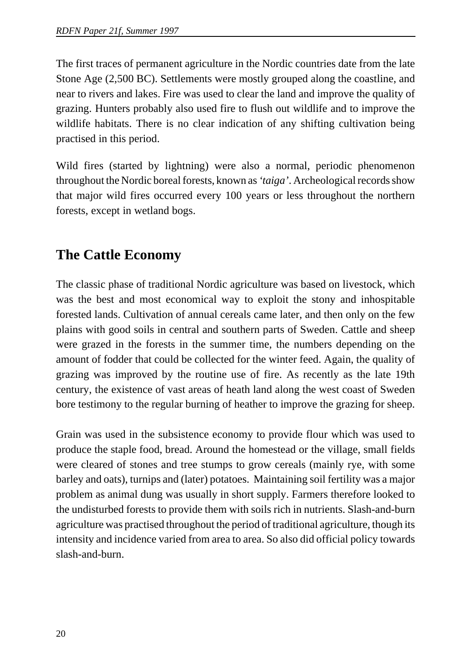The first traces of permanent agriculture in the Nordic countries date from the late Stone Age (2,500 BC). Settlements were mostly grouped along the coastline, and near to rivers and lakes. Fire was used to clear the land and improve the quality of grazing. Hunters probably also used fire to flush out wildlife and to improve the wildlife habitats. There is no clear indication of any shifting cultivation being practised in this period.

Wild fires (started by lightning) were also a normal, periodic phenomenon throughout the Nordic boreal forests, known as *'taiga'*. Archeological records show that major wild fires occurred every 100 years or less throughout the northern forests, except in wetland bogs.

## **The Cattle Economy**

The classic phase of traditional Nordic agriculture was based on livestock, which was the best and most economical way to exploit the stony and inhospitable forested lands. Cultivation of annual cereals came later, and then only on the few plains with good soils in central and southern parts of Sweden. Cattle and sheep were grazed in the forests in the summer time, the numbers depending on the amount of fodder that could be collected for the winter feed. Again, the quality of grazing was improved by the routine use of fire. As recently as the late 19th century, the existence of vast areas of heath land along the west coast of Sweden bore testimony to the regular burning of heather to improve the grazing for sheep.

Grain was used in the subsistence economy to provide flour which was used to produce the staple food, bread. Around the homestead or the village, small fields were cleared of stones and tree stumps to grow cereals (mainly rye, with some barley and oats), turnips and (later) potatoes. Maintaining soil fertility was a major problem as animal dung was usually in short supply. Farmers therefore looked to the undisturbed forests to provide them with soils rich in nutrients. Slash-and-burn agriculture was practised throughout the period of traditional agriculture, though its intensity and incidence varied from area to area. So also did official policy towards slash-and-burn.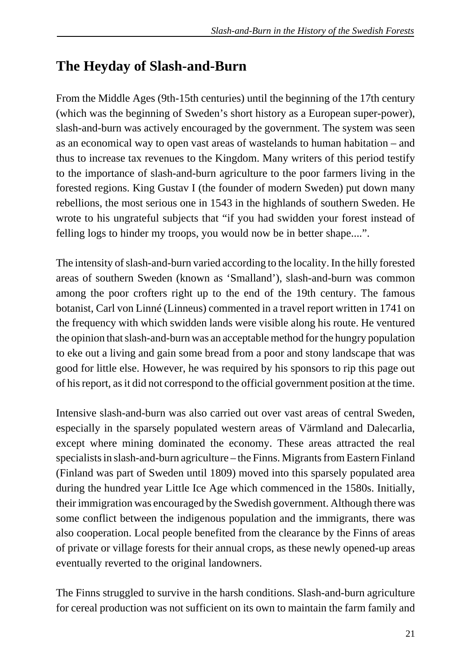#### **The Heyday of Slash-and-Burn**

From the Middle Ages (9th-15th centuries) until the beginning of the 17th century (which was the beginning of Sweden's short history as a European super-power), slash-and-burn was actively encouraged by the government. The system was seen as an economical way to open vast areas of wastelands to human habitation – and thus to increase tax revenues to the Kingdom. Many writers of this period testify to the importance of slash-and-burn agriculture to the poor farmers living in the forested regions. King Gustav I (the founder of modern Sweden) put down many rebellions, the most serious one in 1543 in the highlands of southern Sweden. He wrote to his ungrateful subjects that "if you had swidden your forest instead of felling logs to hinder my troops, you would now be in better shape....".

The intensity of slash-and-burn varied according to the locality. In the hilly forested areas of southern Sweden (known as 'Smalland'), slash-and-burn was common among the poor crofters right up to the end of the 19th century. The famous botanist, Carl von Linné (Linneus) commented in a travel report written in 1741 on the frequency with which swidden lands were visible along his route. He ventured the opinion that slash-and-burn was an acceptable method for the hungry population to eke out a living and gain some bread from a poor and stony landscape that was good for little else. However, he was required by his sponsors to rip this page out of his report, as it did not correspond to the official government position at the time.

Intensive slash-and-burn was also carried out over vast areas of central Sweden, especially in the sparsely populated western areas of Värmland and Dalecarlia, except where mining dominated the economy. These areas attracted the real specialists in slash-and-burn agriculture – the Finns. Migrants from Eastern Finland (Finland was part of Sweden until 1809) moved into this sparsely populated area during the hundred year Little Ice Age which commenced in the 1580s. Initially, their immigration was encouraged by the Swedish government. Although there was some conflict between the indigenous population and the immigrants, there was also cooperation. Local people benefited from the clearance by the Finns of areas of private or village forests for their annual crops, as these newly opened-up areas eventually reverted to the original landowners.

The Finns struggled to survive in the harsh conditions. Slash-and-burn agriculture for cereal production was not sufficient on its own to maintain the farm family and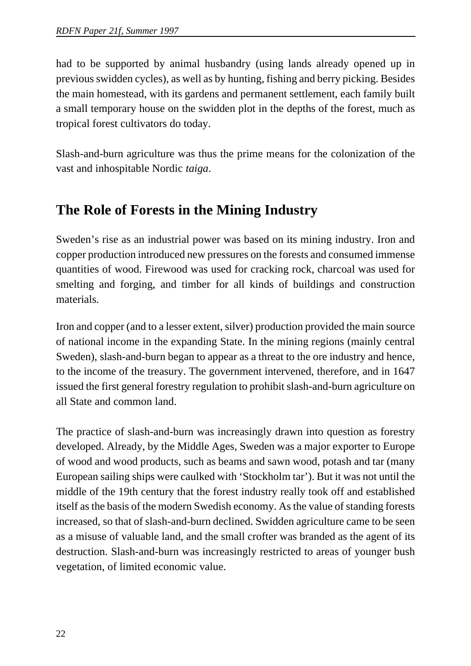had to be supported by animal husbandry (using lands already opened up in previous swidden cycles), as well as by hunting, fishing and berry picking. Besides the main homestead, with its gardens and permanent settlement, each family built a small temporary house on the swidden plot in the depths of the forest, much as tropical forest cultivators do today.

Slash-and-burn agriculture was thus the prime means for the colonization of the vast and inhospitable Nordic *taiga*.

#### **The Role of Forests in the Mining Industry**

Sweden's rise as an industrial power was based on its mining industry. Iron and copper production introduced new pressures on the forests and consumed immense quantities of wood. Firewood was used for cracking rock, charcoal was used for smelting and forging, and timber for all kinds of buildings and construction materials.

Iron and copper (and to a lesser extent, silver) production provided the main source of national income in the expanding State. In the mining regions (mainly central Sweden), slash-and-burn began to appear as a threat to the ore industry and hence, to the income of the treasury. The government intervened, therefore, and in 1647 issued the first general forestry regulation to prohibit slash-and-burn agriculture on all State and common land.

The practice of slash-and-burn was increasingly drawn into question as forestry developed. Already, by the Middle Ages, Sweden was a major exporter to Europe of wood and wood products, such as beams and sawn wood, potash and tar (many European sailing ships were caulked with 'Stockholm tar'). But it was not until the middle of the 19th century that the forest industry really took off and established itself as the basis of the modern Swedish economy. As the value of standing forests increased, so that of slash-and-burn declined. Swidden agriculture came to be seen as a misuse of valuable land, and the small crofter was branded as the agent of its destruction. Slash-and-burn was increasingly restricted to areas of younger bush vegetation, of limited economic value.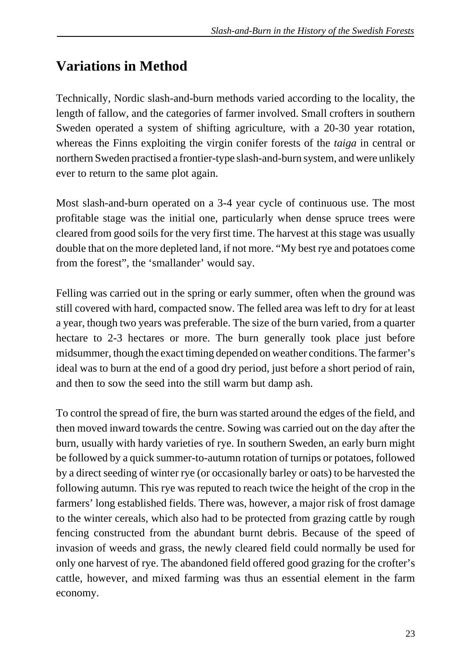#### **Variations in Method**

Technically, Nordic slash-and-burn methods varied according to the locality, the length of fallow, and the categories of farmer involved. Small crofters in southern Sweden operated a system of shifting agriculture, with a 20-30 year rotation, whereas the Finns exploiting the virgin conifer forests of the *taiga* in central or northern Sweden practised a frontier-type slash-and-burn system, and were unlikely ever to return to the same plot again.

Most slash-and-burn operated on a 3-4 year cycle of continuous use. The most profitable stage was the initial one, particularly when dense spruce trees were cleared from good soils for the very first time. The harvest at this stage was usually double that on the more depleted land, if not more. "My best rye and potatoes come from the forest", the 'smallander' would say.

Felling was carried out in the spring or early summer, often when the ground was still covered with hard, compacted snow. The felled area was left to dry for at least a year, though two years was preferable. The size of the burn varied, from a quarter hectare to 2-3 hectares or more. The burn generally took place just before midsummer, though the exact timing depended on weather conditions. The farmer's ideal was to burn at the end of a good dry period, just before a short period of rain, and then to sow the seed into the still warm but damp ash.

To control the spread of fire, the burn was started around the edges of the field, and then moved inward towards the centre. Sowing was carried out on the day after the burn, usually with hardy varieties of rye. In southern Sweden, an early burn might be followed by a quick summer-to-autumn rotation of turnips or potatoes, followed by a direct seeding of winter rye (or occasionally barley or oats) to be harvested the following autumn. This rye was reputed to reach twice the height of the crop in the farmers' long established fields. There was, however, a major risk of frost damage to the winter cereals, which also had to be protected from grazing cattle by rough fencing constructed from the abundant burnt debris. Because of the speed of invasion of weeds and grass, the newly cleared field could normally be used for only one harvest of rye. The abandoned field offered good grazing for the crofter's cattle, however, and mixed farming was thus an essential element in the farm economy.